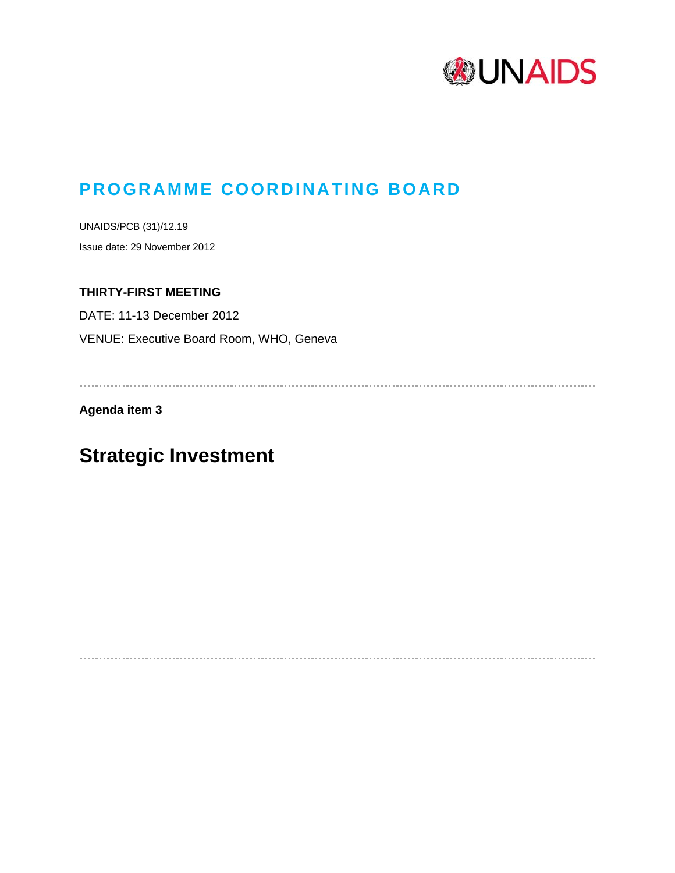

## **PROGRAMME COORDINATING BOARD**

UNAIDS/PCB (31)/12.19 Issue date: 29 November 2012

## **THIRTY-FIRST MEETING**

DATE: 11-13 December 2012 VENUE: Executive Board Room, WHO, Geneva

**Agenda item 3** 

# **Strategic Investment**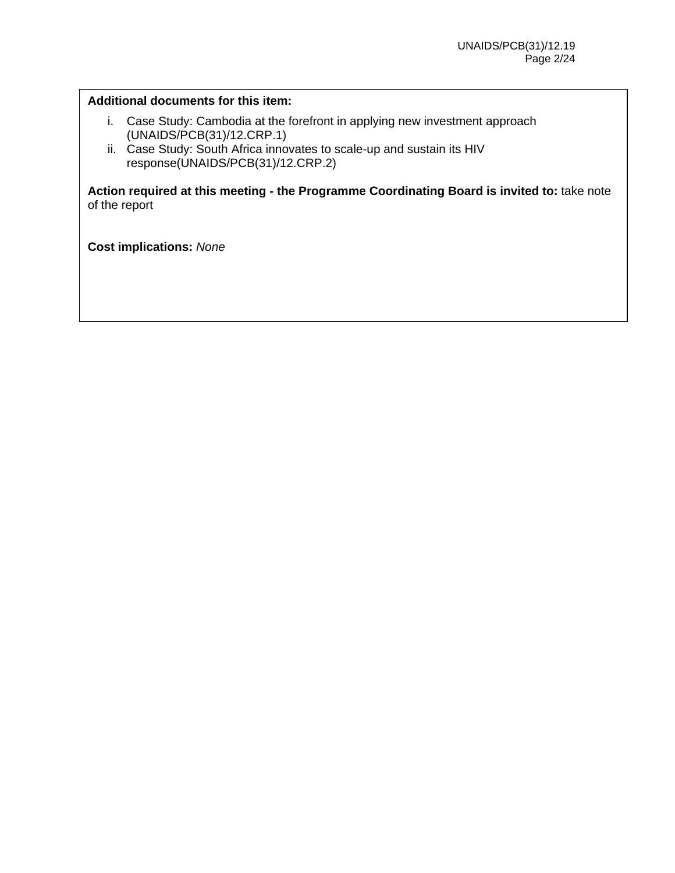#### **Additional documents for this item:**

- i. Case Study: Cambodia at the forefront in applying new investment approach (UNAIDS/PCB(31)/12.CRP.1)
- ii. Case Study: South Africa innovates to scale-up and sustain its HIV response(UNAIDS/PCB(31)/12.CRP.2)

**Action required at this meeting - the Programme Coordinating Board is invited to:** take note of the report

**Cost implications:** *None*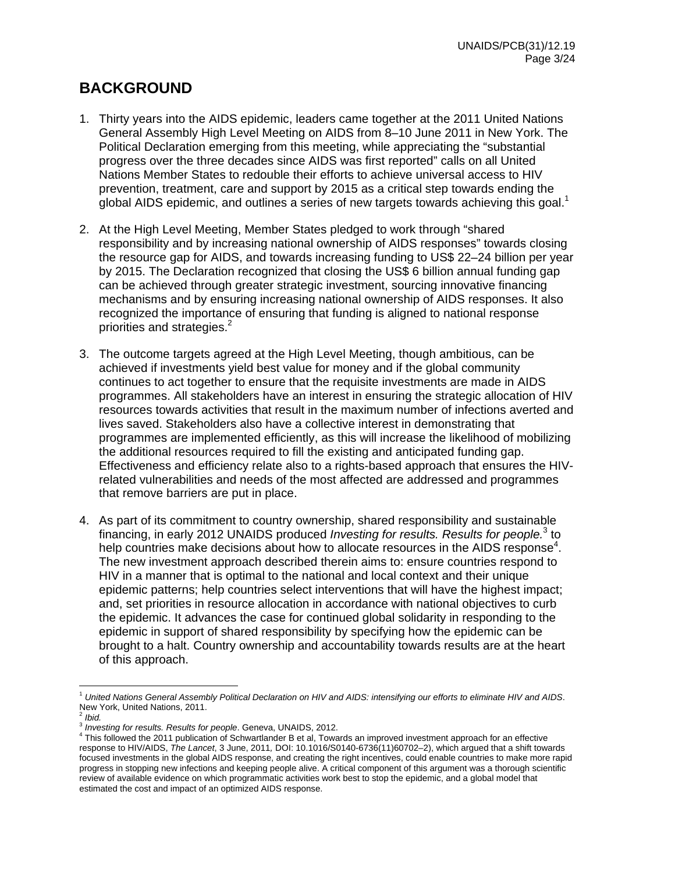## **BACKGROUND**

- 1. Thirty years into the AIDS epidemic, leaders came together at the 2011 United Nations General Assembly High Level Meeting on AIDS from 8–10 June 2011 in New York. The Political Declaration emerging from this meeting, while appreciating the "substantial progress over the three decades since AIDS was first reported" calls on all United Nations Member States to redouble their efforts to achieve universal access to HIV prevention, treatment, care and support by 2015 as a critical step towards ending the global AIDS epidemic, and outlines a series of new targets towards achieving this goal.<sup>1</sup>
- 2. At the High Level Meeting, Member States pledged to work through "shared responsibility and by increasing national ownership of AIDS responses" towards closing the resource gap for AIDS, and towards increasing funding to US\$ 22–24 billion per year by 2015. The Declaration recognized that closing the US\$ 6 billion annual funding gap can be achieved through greater strategic investment, sourcing innovative financing mechanisms and by ensuring increasing national ownership of AIDS responses. It also recognized the importance of ensuring that funding is aligned to national response priorities and strategies.<sup>2</sup>
- 3. The outcome targets agreed at the High Level Meeting, though ambitious, can be achieved if investments yield best value for money and if the global community continues to act together to ensure that the requisite investments are made in AIDS programmes. All stakeholders have an interest in ensuring the strategic allocation of HIV resources towards activities that result in the maximum number of infections averted and lives saved. Stakeholders also have a collective interest in demonstrating that programmes are implemented efficiently, as this will increase the likelihood of mobilizing the additional resources required to fill the existing and anticipated funding gap. Effectiveness and efficiency relate also to a rights-based approach that ensures the HIVrelated vulnerabilities and needs of the most affected are addressed and programmes that remove barriers are put in place.
- 4. As part of its commitment to country ownership, shared responsibility and sustainable financing, in early 2012 UNAIDS produced *Investing for results. Results for people.*<sup>3</sup> to help countries make decisions about how to allocate resources in the AIDS response<sup>4</sup>. The new investment approach described therein aims to: ensure countries respond to HIV in a manner that is optimal to the national and local context and their unique epidemic patterns; help countries select interventions that will have the highest impact; and, set priorities in resource allocation in accordance with national objectives to curb the epidemic. It advances the case for continued global solidarity in responding to the epidemic in support of shared responsibility by specifying how the epidemic can be brought to a halt. Country ownership and accountability towards results are at the heart of this approach.

<sup>1</sup> *United Nations General Assembly Political Declaration on HIV and AIDS: intensifying our efforts to eliminate HIV and AIDS*. New York, United Nations, 2011.

 $2$  *Ibid.* 

<sup>&</sup>lt;sup>3</sup> Investing for results. Results for people. Geneva, UNAIDS, 2012.

This followed the 2011 publication of Schwartlander B et al, Towards an improved investment approach for an effective response to HIV/AIDS, *The Lancet*, 3 June, 2011*,* DOI: 10.1016/S0140-6736(11)60702–2), which argued that a shift towards focused investments in the global AIDS response, and creating the right incentives, could enable countries to make more rapid progress in stopping new infections and keeping people alive. A critical component of this argument was a thorough scientific review of available evidence on which programmatic activities work best to stop the epidemic, and a global model that estimated the cost and impact of an optimized AIDS response.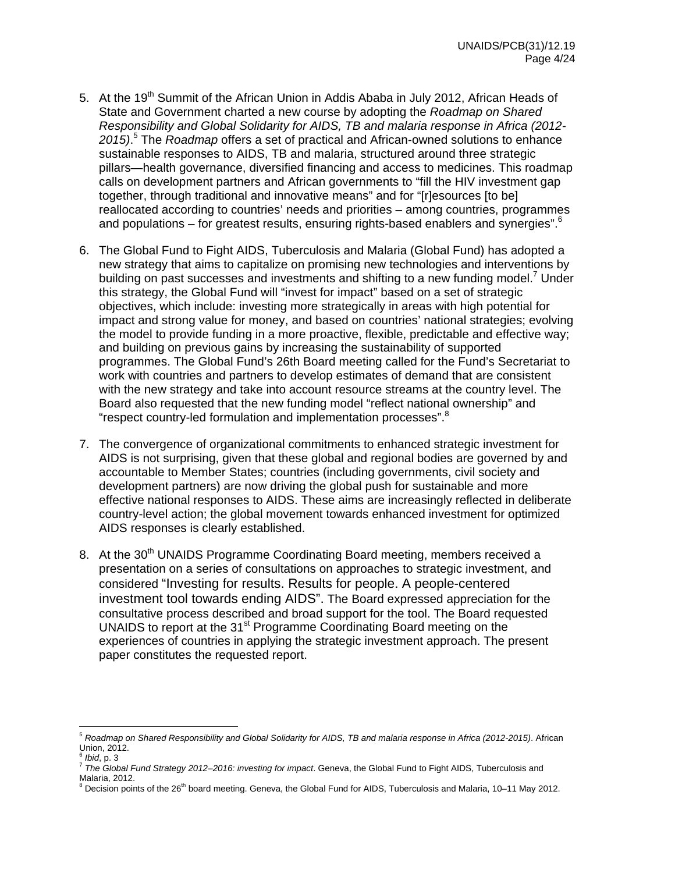- 5. At the 19<sup>th</sup> Summit of the African Union in Addis Ababa in July 2012, African Heads of State and Government charted a new course by adopting the *Roadmap on Shared Responsibility and Global Solidarity for AIDS, TB and malaria response in Africa (2012- 2015)*. 5 The *Roadmap* offers a set of practical and African-owned solutions to enhance sustainable responses to AIDS, TB and malaria, structured around three strategic pillars—health governance, diversified financing and access to medicines. This roadmap calls on development partners and African governments to "fill the HIV investment gap together, through traditional and innovative means" and for "[r]esources [to be] reallocated according to countries' needs and priorities – among countries, programmes and populations – for greatest results, ensuring rights-based enablers and synergies". $6^{\circ}$
- 6. The Global Fund to Fight AIDS, Tuberculosis and Malaria (Global Fund) has adopted a new strategy that aims to capitalize on promising new technologies and interventions by building on past successes and investments and shifting to a new funding model.<sup>7</sup> Under this strategy, the Global Fund will "invest for impact" based on a set of strategic objectives, which include: investing more strategically in areas with high potential for impact and strong value for money, and based on countries' national strategies; evolving the model to provide funding in a more proactive, flexible, predictable and effective way; and building on previous gains by increasing the sustainability of supported programmes. The Global Fund's 26th Board meeting called for the Fund's Secretariat to work with countries and partners to develop estimates of demand that are consistent with the new strategy and take into account resource streams at the country level. The Board also requested that the new funding model "reflect national ownership" and "respect country-led formulation and implementation processes".<sup>8</sup>
- 7. The convergence of organizational commitments to enhanced strategic investment for AIDS is not surprising, given that these global and regional bodies are governed by and accountable to Member States; countries (including governments, civil society and development partners) are now driving the global push for sustainable and more effective national responses to AIDS. These aims are increasingly reflected in deliberate country-level action; the global movement towards enhanced investment for optimized AIDS responses is clearly established.
- 8. At the 30<sup>th</sup> UNAIDS Programme Coordinating Board meeting, members received a presentation on a series of consultations on approaches to strategic investment, and considered "Investing for results. Results for people. A people-centered investment tool towards ending AIDS". The Board expressed appreciation for the consultative process described and broad support for the tool. The Board requested UNAIDS to report at the 31<sup>st</sup> Programme Coordinating Board meeting on the experiences of countries in applying the strategic investment approach. The present paper constitutes the requested report.

<sup>5</sup> *Roadmap on Shared Responsibility and Global Solidarity for AIDS, TB and malaria response in Africa (2012-2015)*. African Union, 2012.<br><sup>6</sup> *Ibid.* p. 3

*The Global Fund Strategy 2012–2016: investing for impact*. Geneva, the Global Fund to Fight AIDS, Tuberculosis and Malaria, 2012.

<sup>&</sup>lt;sup>8</sup> Decision points of the 26<sup>th</sup> board meeting. Geneva, the Global Fund for AIDS, Tuberculosis and Malaria, 10–11 May 2012.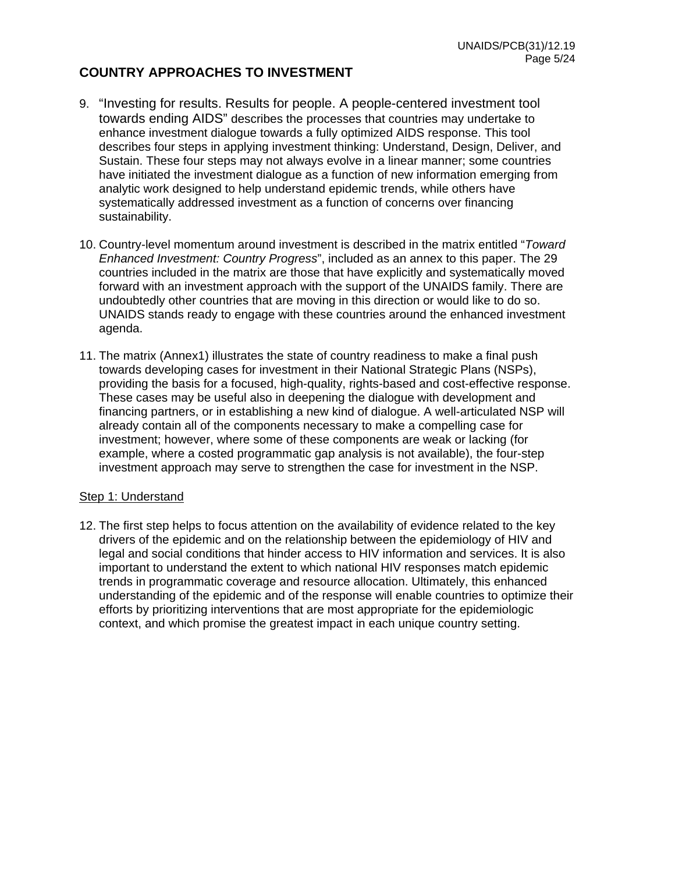## **COUNTRY APPROACHES TO INVESTMENT**

- 9. "Investing for results. Results for people. A people-centered investment tool towards ending AIDS" describes the processes that countries may undertake to enhance investment dialogue towards a fully optimized AIDS response. This tool describes four steps in applying investment thinking: Understand, Design, Deliver, and Sustain. These four steps may not always evolve in a linear manner; some countries have initiated the investment dialogue as a function of new information emerging from analytic work designed to help understand epidemic trends, while others have systematically addressed investment as a function of concerns over financing sustainability.
- 10. Country-level momentum around investment is described in the matrix entitled "*Toward Enhanced Investment: Country Progress*", included as an annex to this paper. The 29 countries included in the matrix are those that have explicitly and systematically moved forward with an investment approach with the support of the UNAIDS family. There are undoubtedly other countries that are moving in this direction or would like to do so. UNAIDS stands ready to engage with these countries around the enhanced investment agenda.
- 11. The matrix (Annex1) illustrates the state of country readiness to make a final push towards developing cases for investment in their National Strategic Plans (NSPs), providing the basis for a focused, high-quality, rights-based and cost-effective response. These cases may be useful also in deepening the dialogue with development and financing partners, or in establishing a new kind of dialogue. A well-articulated NSP will already contain all of the components necessary to make a compelling case for investment; however, where some of these components are weak or lacking (for example, where a costed programmatic gap analysis is not available), the four-step investment approach may serve to strengthen the case for investment in the NSP.

#### Step 1: Understand

12. The first step helps to focus attention on the availability of evidence related to the key drivers of the epidemic and on the relationship between the epidemiology of HIV and legal and social conditions that hinder access to HIV information and services. It is also important to understand the extent to which national HIV responses match epidemic trends in programmatic coverage and resource allocation. Ultimately, this enhanced understanding of the epidemic and of the response will enable countries to optimize their efforts by prioritizing interventions that are most appropriate for the epidemiologic context, and which promise the greatest impact in each unique country setting.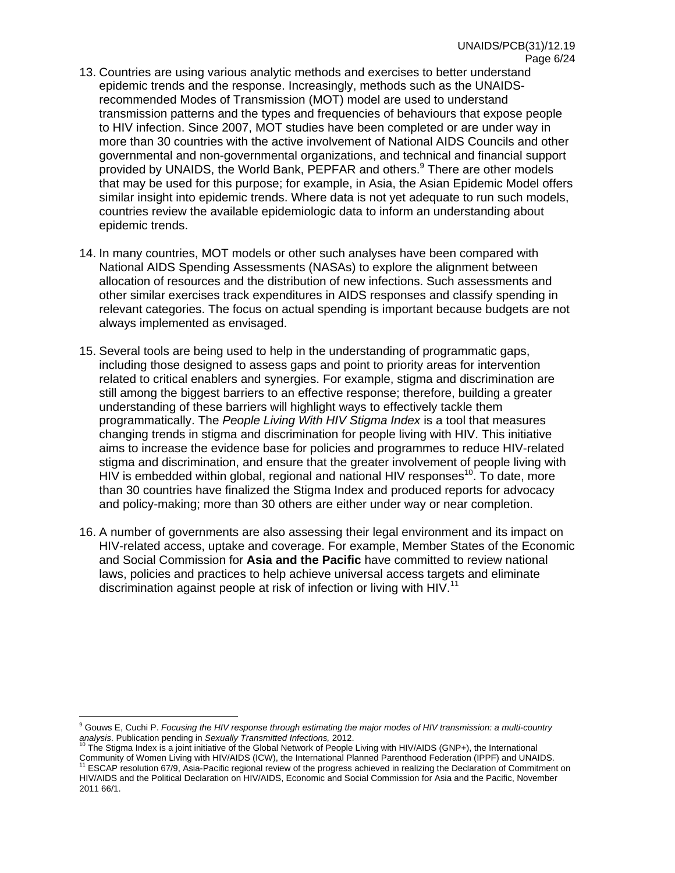- 13. Countries are using various analytic methods and exercises to better understand epidemic trends and the response. Increasingly, methods such as the UNAIDSrecommended Modes of Transmission (MOT) model are used to understand transmission patterns and the types and frequencies of behaviours that expose people to HIV infection. Since 2007, MOT studies have been completed or are under way in more than 30 countries with the active involvement of National AIDS Councils and other governmental and non-governmental organizations, and technical and financial support provided by UNAIDS, the World Bank, PEPFAR and others.<sup>9</sup> There are other models that may be used for this purpose; for example, in Asia, the Asian Epidemic Model offers similar insight into epidemic trends. Where data is not yet adequate to run such models, countries review the available epidemiologic data to inform an understanding about epidemic trends.
- 14. In many countries, MOT models or other such analyses have been compared with National AIDS Spending Assessments (NASAs) to explore the alignment between allocation of resources and the distribution of new infections. Such assessments and other similar exercises track expenditures in AIDS responses and classify spending in relevant categories. The focus on actual spending is important because budgets are not always implemented as envisaged.
- 15. Several tools are being used to help in the understanding of programmatic gaps, including those designed to assess gaps and point to priority areas for intervention related to critical enablers and synergies. For example, stigma and discrimination are still among the biggest barriers to an effective response; therefore, building a greater understanding of these barriers will highlight ways to effectively tackle them programmatically. The *People Living With HIV Stigma Index* is a tool that measures changing trends in stigma and discrimination for people living with HIV. This initiative aims to increase the evidence base for policies and programmes to reduce HIV-related stigma and discrimination, and ensure that the greater involvement of people living with  $H\dot{V}$  is embedded within global, regional and national HIV responses<sup>10</sup>. To date, more than 30 countries have finalized the Stigma Index and produced reports for advocacy and policy-making; more than 30 others are either under way or near completion.
- 16. A number of governments are also assessing their legal environment and its impact on HIV-related access, uptake and coverage. For example, Member States of the Economic and Social Commission for **Asia and the Pacific** have committed to review national laws, policies and practices to help achieve universal access targets and eliminate discrimination against people at risk of infection or living with HIV.<sup>11</sup>

 $\overline{a}$ 9 Gouws E, Cuchi P. *Focusing the HIV response through estimating the major modes of HIV transmission: a multi-country*  analysis. Publication pending in *Sexually Transmitted Infections, 2012*.<br><sup>10</sup> The Stigma Index is a joint initiative of the Global Network of People Living with HIV/AIDS (GNP+), the International<br><sup>10</sup> The Stigma Index is

e processes and the process increased in the progress achieved in realizing the Declaration (IPPF) and UNAIDS.<br>Community of Women Living with HIV/AIDS (ICW), the International Planned Parenthood Federation (IPPF) and UNAI HIV/AIDS and the Political Declaration on HIV/AIDS, Economic and Social Commission for Asia and the Pacific, November 2011 66/1.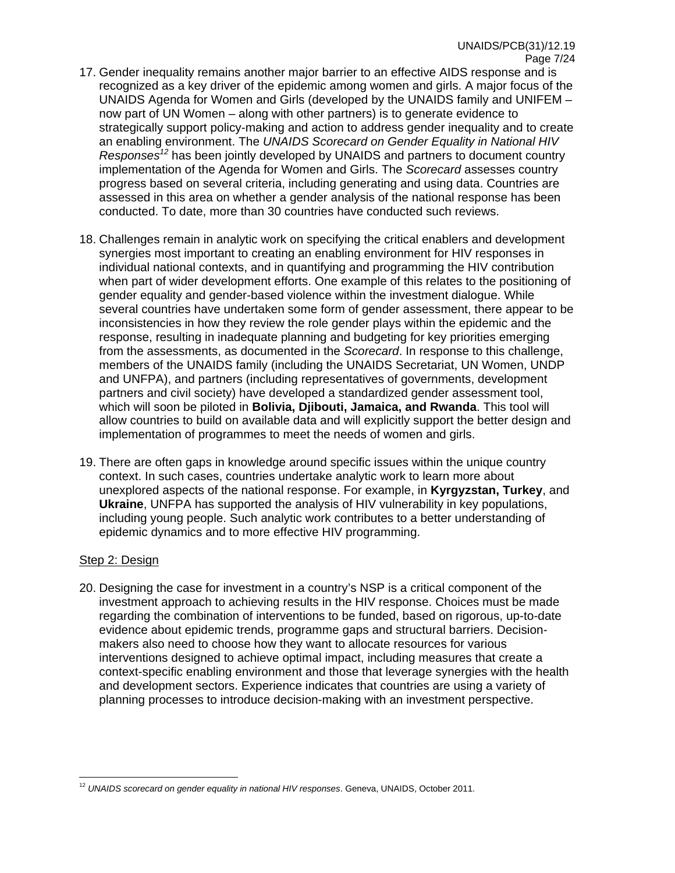- 17. Gender inequality remains another major barrier to an effective AIDS response and is recognized as a key driver of the epidemic among women and girls. A major focus of the UNAIDS Agenda for Women and Girls (developed by the UNAIDS family and UNIFEM – now part of UN Women – along with other partners) is to generate evidence to strategically support policy-making and action to address gender inequality and to create an enabling environment. The *UNAIDS Scorecard on Gender Equality in National HIV Responses12* has been jointly developed by UNAIDS and partners to document country implementation of the Agenda for Women and Girls. The *Scorecard* assesses country progress based on several criteria, including generating and using data. Countries are assessed in this area on whether a gender analysis of the national response has been conducted. To date, more than 30 countries have conducted such reviews.
- 18. Challenges remain in analytic work on specifying the critical enablers and development synergies most important to creating an enabling environment for HIV responses in individual national contexts, and in quantifying and programming the HIV contribution when part of wider development efforts. One example of this relates to the positioning of gender equality and gender-based violence within the investment dialogue. While several countries have undertaken some form of gender assessment, there appear to be inconsistencies in how they review the role gender plays within the epidemic and the response, resulting in inadequate planning and budgeting for key priorities emerging from the assessments, as documented in the *Scorecard*. In response to this challenge, members of the UNAIDS family (including the UNAIDS Secretariat, UN Women, UNDP and UNFPA), and partners (including representatives of governments, development partners and civil society) have developed a standardized gender assessment tool, which will soon be piloted in **Bolivia, Djibouti, Jamaica, and Rwanda**. This tool will allow countries to build on available data and will explicitly support the better design and implementation of programmes to meet the needs of women and girls.
- 19. There are often gaps in knowledge around specific issues within the unique country context. In such cases, countries undertake analytic work to learn more about unexplored aspects of the national response. For example, in **Kyrgyzstan, Turkey**, and **Ukraine**, UNFPA has supported the analysis of HIV vulnerability in key populations, including young people. Such analytic work contributes to a better understanding of epidemic dynamics and to more effective HIV programming.

#### Step 2: Design

 $\overline{a}$ 

20. Designing the case for investment in a country's NSP is a critical component of the investment approach to achieving results in the HIV response. Choices must be made regarding the combination of interventions to be funded, based on rigorous, up-to-date evidence about epidemic trends, programme gaps and structural barriers. Decisionmakers also need to choose how they want to allocate resources for various interventions designed to achieve optimal impact, including measures that create a context-specific enabling environment and those that leverage synergies with the health and development sectors. Experience indicates that countries are using a variety of planning processes to introduce decision-making with an investment perspective.

<sup>12</sup> *UNAIDS scorecard on gender equality in national HIV responses*. Geneva, UNAIDS, October 2011.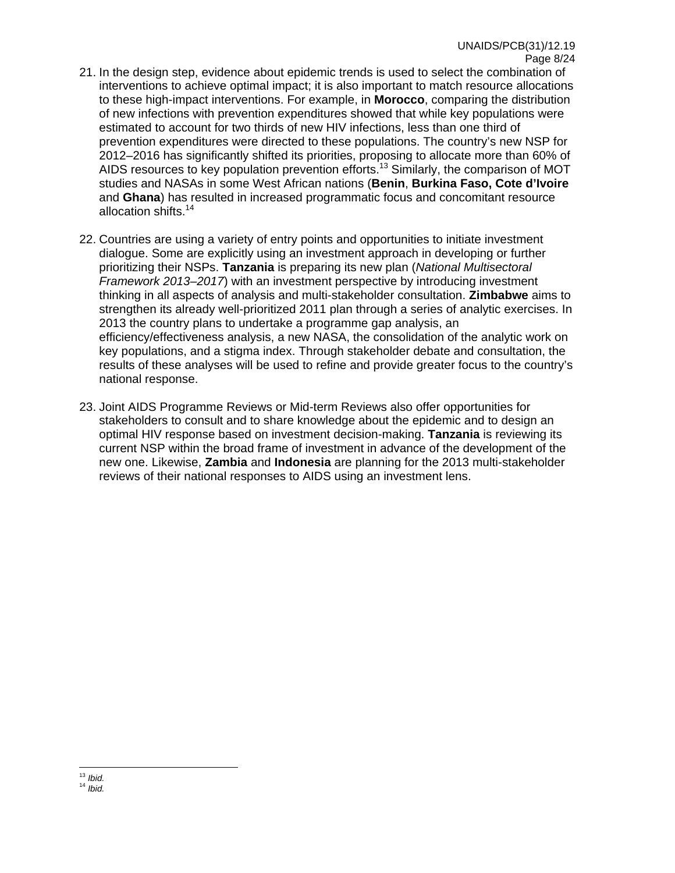- 21. In the design step, evidence about epidemic trends is used to select the combination of interventions to achieve optimal impact; it is also important to match resource allocations to these high-impact interventions. For example, in **Morocco**, comparing the distribution of new infections with prevention expenditures showed that while key populations were estimated to account for two thirds of new HIV infections, less than one third of prevention expenditures were directed to these populations. The country's new NSP for 2012–2016 has significantly shifted its priorities, proposing to allocate more than 60% of AIDS resources to key population prevention efforts.<sup>13</sup> Similarly, the comparison of MOT studies and NASAs in some West African nations (**Benin**, **Burkina Faso, Cote d'Ivoire** and **Ghana**) has resulted in increased programmatic focus and concomitant resource allocation shifts.14
- 22. Countries are using a variety of entry points and opportunities to initiate investment dialogue. Some are explicitly using an investment approach in developing or further prioritizing their NSPs. **Tanzania** is preparing its new plan (*National Multisectoral Framework 2013–2017*) with an investment perspective by introducing investment thinking in all aspects of analysis and multi-stakeholder consultation. **Zimbabwe** aims to strengthen its already well-prioritized 2011 plan through a series of analytic exercises. In 2013 the country plans to undertake a programme gap analysis, an efficiency/effectiveness analysis, a new NASA, the consolidation of the analytic work on key populations, and a stigma index. Through stakeholder debate and consultation, the results of these analyses will be used to refine and provide greater focus to the country's national response.
- 23. Joint AIDS Programme Reviews or Mid-term Reviews also offer opportunities for stakeholders to consult and to share knowledge about the epidemic and to design an optimal HIV response based on investment decision-making. **Tanzania** is reviewing its current NSP within the broad frame of investment in advance of the development of the new one. Likewise, **Zambia** and **Indonesia** are planning for the 2013 multi-stakeholder reviews of their national responses to AIDS using an investment lens.

 $13$  Ibid.

<sup>13</sup> *Ibid.* <sup>14</sup> *Ibid.*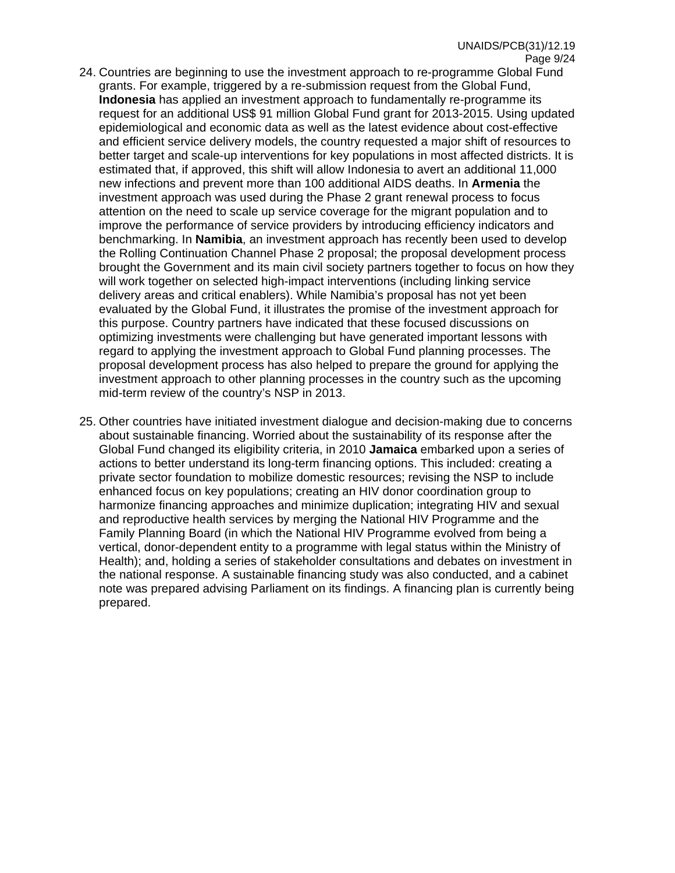- 24. Countries are beginning to use the investment approach to re-programme Global Fund grants. For example, triggered by a re-submission request from the Global Fund, **Indonesia** has applied an investment approach to fundamentally re-programme its request for an additional US\$ 91 million Global Fund grant for 2013-2015. Using updated epidemiological and economic data as well as the latest evidence about cost-effective and efficient service delivery models, the country requested a major shift of resources to better target and scale-up interventions for key populations in most affected districts. It is estimated that, if approved, this shift will allow Indonesia to avert an additional 11,000 new infections and prevent more than 100 additional AIDS deaths. In **Armenia** the investment approach was used during the Phase 2 grant renewal process to focus attention on the need to scale up service coverage for the migrant population and to improve the performance of service providers by introducing efficiency indicators and benchmarking. In **Namibia**, an investment approach has recently been used to develop the Rolling Continuation Channel Phase 2 proposal; the proposal development process brought the Government and its main civil society partners together to focus on how they will work together on selected high-impact interventions (including linking service delivery areas and critical enablers). While Namibia's proposal has not yet been evaluated by the Global Fund, it illustrates the promise of the investment approach for this purpose. Country partners have indicated that these focused discussions on optimizing investments were challenging but have generated important lessons with
	- regard to applying the investment approach to Global Fund planning processes. The proposal development process has also helped to prepare the ground for applying the investment approach to other planning processes in the country such as the upcoming mid-term review of the country's NSP in 2013.
- 25. Other countries have initiated investment dialogue and decision-making due to concerns about sustainable financing. Worried about the sustainability of its response after the Global Fund changed its eligibility criteria, in 2010 **Jamaica** embarked upon a series of actions to better understand its long-term financing options. This included: creating a private sector foundation to mobilize domestic resources; revising the NSP to include enhanced focus on key populations; creating an HIV donor coordination group to harmonize financing approaches and minimize duplication; integrating HIV and sexual and reproductive health services by merging the National HIV Programme and the Family Planning Board (in which the National HIV Programme evolved from being a vertical, donor-dependent entity to a programme with legal status within the Ministry of Health); and, holding a series of stakeholder consultations and debates on investment in the national response. A sustainable financing study was also conducted, and a cabinet note was prepared advising Parliament on its findings. A financing plan is currently being prepared.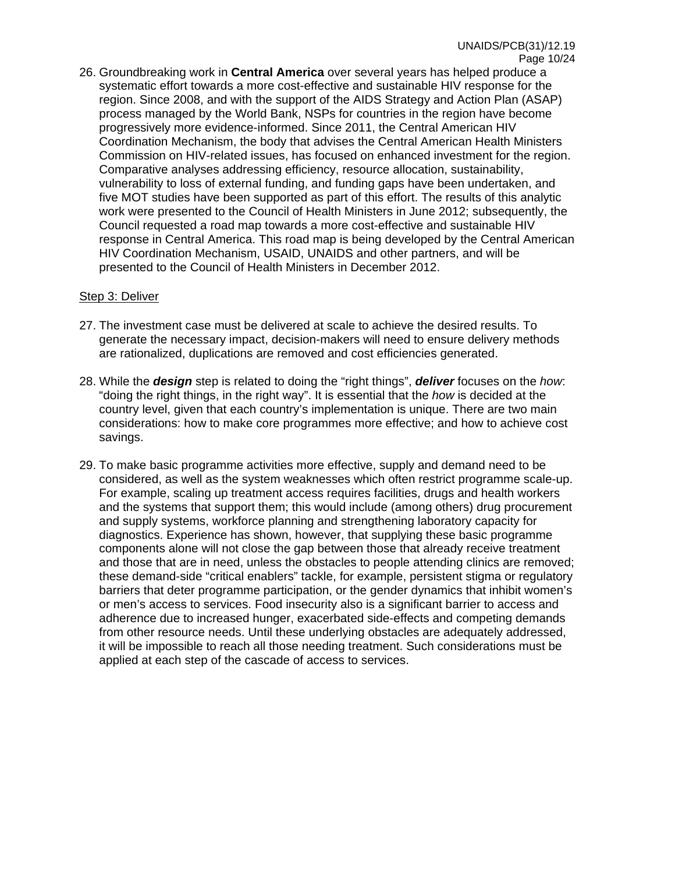26. Groundbreaking work in **Central America** over several years has helped produce a systematic effort towards a more cost-effective and sustainable HIV response for the region. Since 2008, and with the support of the AIDS Strategy and Action Plan (ASAP) process managed by the World Bank, NSPs for countries in the region have become progressively more evidence-informed. Since 2011, the Central American HIV Coordination Mechanism, the body that advises the Central American Health Ministers Commission on HIV-related issues, has focused on enhanced investment for the region. Comparative analyses addressing efficiency, resource allocation, sustainability, vulnerability to loss of external funding, and funding gaps have been undertaken, and five MOT studies have been supported as part of this effort. The results of this analytic work were presented to the Council of Health Ministers in June 2012; subsequently, the Council requested a road map towards a more cost-effective and sustainable HIV response in Central America. This road map is being developed by the Central American HIV Coordination Mechanism, USAID, UNAIDS and other partners, and will be presented to the Council of Health Ministers in December 2012.

#### Step 3: Deliver

- 27. The investment case must be delivered at scale to achieve the desired results. To generate the necessary impact, decision-makers will need to ensure delivery methods are rationalized, duplications are removed and cost efficiencies generated.
- 28. While the *design* step is related to doing the "right things", *deliver* focuses on the *how*: "doing the right things, in the right way". It is essential that the *how* is decided at the country level, given that each country's implementation is unique. There are two main considerations: how to make core programmes more effective; and how to achieve cost savings.
- 29. To make basic programme activities more effective, supply and demand need to be considered, as well as the system weaknesses which often restrict programme scale-up. For example, scaling up treatment access requires facilities, drugs and health workers and the systems that support them; this would include (among others) drug procurement and supply systems, workforce planning and strengthening laboratory capacity for diagnostics. Experience has shown, however, that supplying these basic programme components alone will not close the gap between those that already receive treatment and those that are in need, unless the obstacles to people attending clinics are removed; these demand-side "critical enablers" tackle, for example, persistent stigma or regulatory barriers that deter programme participation, or the gender dynamics that inhibit women's or men's access to services. Food insecurity also is a significant barrier to access and adherence due to increased hunger, exacerbated side-effects and competing demands from other resource needs. Until these underlying obstacles are adequately addressed, it will be impossible to reach all those needing treatment. Such considerations must be applied at each step of the cascade of access to services.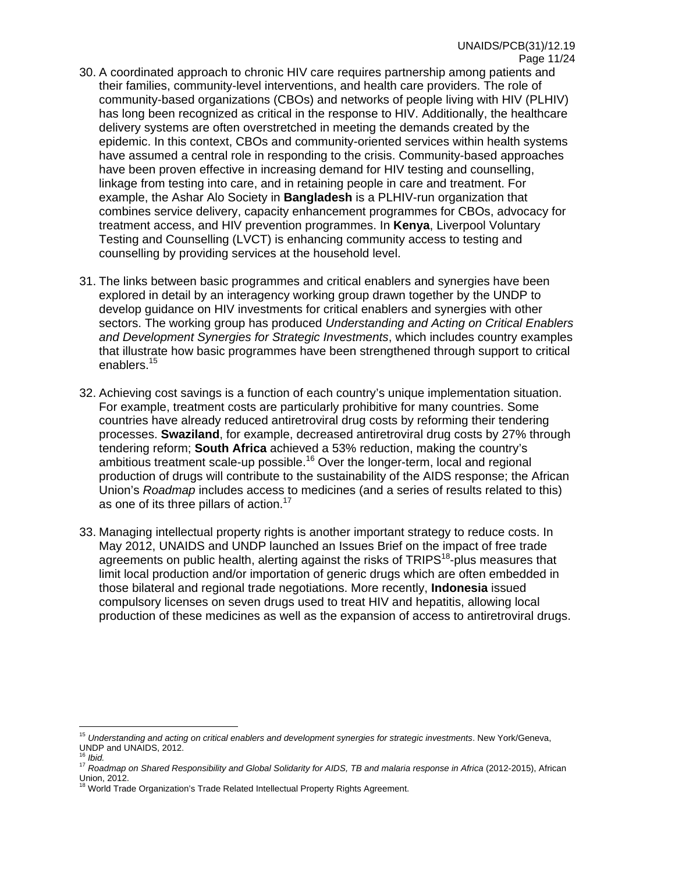- 30. A coordinated approach to chronic HIV care requires partnership among patients and their families, community-level interventions, and health care providers. The role of community-based organizations (CBOs) and networks of people living with HIV (PLHIV) has long been recognized as critical in the response to HIV. Additionally, the healthcare delivery systems are often overstretched in meeting the demands created by the epidemic. In this context, CBOs and community-oriented services within health systems have assumed a central role in responding to the crisis. Community-based approaches have been proven effective in increasing demand for HIV testing and counselling, linkage from testing into care, and in retaining people in care and treatment. For example, the Ashar Alo Society in **Bangladesh** is a PLHIV-run organization that combines service delivery, capacity enhancement programmes for CBOs, advocacy for treatment access, and HIV prevention programmes. In **Kenya**, Liverpool Voluntary Testing and Counselling (LVCT) is enhancing community access to testing and counselling by providing services at the household level.
- 31. The links between basic programmes and critical enablers and synergies have been explored in detail by an interagency working group drawn together by the UNDP to develop guidance on HIV investments for critical enablers and synergies with other sectors. The working group has produced *Understanding and Acting on Critical Enablers and Development Synergies for Strategic Investments*, which includes country examples that illustrate how basic programmes have been strengthened through support to critical enablers.<sup>15</sup>
- 32. Achieving cost savings is a function of each country's unique implementation situation. For example, treatment costs are particularly prohibitive for many countries. Some countries have already reduced antiretroviral drug costs by reforming their tendering processes. **Swaziland**, for example, decreased antiretroviral drug costs by 27% through tendering reform; **South Africa** achieved a 53% reduction, making the country's ambitious treatment scale-up possible.<sup>16</sup> Over the longer-term, local and regional production of drugs will contribute to the sustainability of the AIDS response; the African Union's *Roadmap* includes access to medicines (and a series of results related to this) as one of its three pillars of action.<sup>17</sup>
- 33. Managing intellectual property rights is another important strategy to reduce costs. In May 2012, UNAIDS and UNDP launched an Issues Brief on the impact of free trade agreements on public health, alerting against the risks of TRIPS<sup>18</sup>-plus measures that limit local production and/or importation of generic drugs which are often embedded in those bilateral and regional trade negotiations. More recently, **Indonesia** issued compulsory licenses on seven drugs used to treat HIV and hepatitis, allowing local production of these medicines as well as the expansion of access to antiretroviral drugs.

<sup>15</sup> *Understanding and acting on critical enablers and development synergies for strategic investments*. New York/Geneva, UNDP and UNAIDS, 2012.

<sup>&</sup>lt;sup>17</sup> Roadmap on Shared Responsibility and Global Solidarity for AIDS, TB and malaria response in Africa (2012-2015), African Union, 2012.

World Trade Organization's Trade Related Intellectual Property Rights Agreement.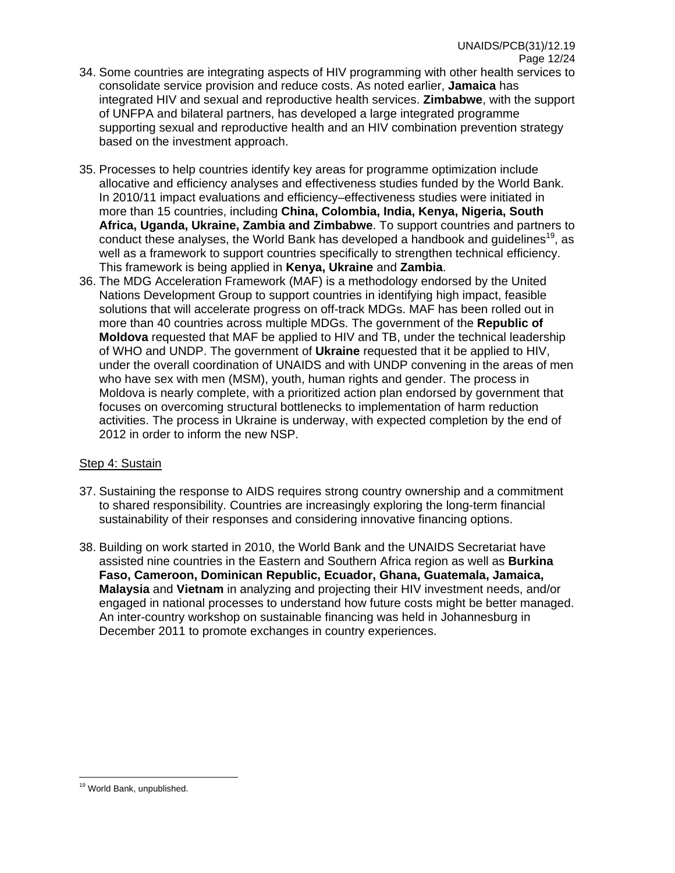- 34. Some countries are integrating aspects of HIV programming with other health services to consolidate service provision and reduce costs. As noted earlier, **Jamaica** has integrated HIV and sexual and reproductive health services. **Zimbabwe**, with the support of UNFPA and bilateral partners, has developed a large integrated programme supporting sexual and reproductive health and an HIV combination prevention strategy based on the investment approach.
- 35. Processes to help countries identify key areas for programme optimization include allocative and efficiency analyses and effectiveness studies funded by the World Bank. In 2010/11 impact evaluations and efficiency–effectiveness studies were initiated in more than 15 countries, including **China, Colombia, India, Kenya, Nigeria, South Africa, Uganda, Ukraine, Zambia and Zimbabwe**. To support countries and partners to conduct these analyses, the World Bank has developed a handbook and guidelines<sup>19</sup>, as well as a framework to support countries specifically to strengthen technical efficiency. This framework is being applied in **Kenya, Ukraine** and **Zambia**.
- 36. The MDG Acceleration Framework (MAF) is a methodology endorsed by the United Nations Development Group to support countries in identifying high impact, feasible solutions that will accelerate progress on off-track MDGs. MAF has been rolled out in more than 40 countries across multiple MDGs. The government of the **Republic of Moldova** requested that MAF be applied to HIV and TB, under the technical leadership of WHO and UNDP. The government of **Ukraine** requested that it be applied to HIV, under the overall coordination of UNAIDS and with UNDP convening in the areas of men who have sex with men (MSM), youth, human rights and gender. The process in Moldova is nearly complete, with a prioritized action plan endorsed by government that focuses on overcoming structural bottlenecks to implementation of harm reduction activities. The process in Ukraine is underway, with expected completion by the end of 2012 in order to inform the new NSP.

#### Step 4: Sustain

- 37. Sustaining the response to AIDS requires strong country ownership and a commitment to shared responsibility. Countries are increasingly exploring the long-term financial sustainability of their responses and considering innovative financing options.
- 38. Building on work started in 2010, the World Bank and the UNAIDS Secretariat have assisted nine countries in the Eastern and Southern Africa region as well as **Burkina Faso, Cameroon, Dominican Republic, Ecuador, Ghana, Guatemala, Jamaica, Malaysia** and **Vietnam** in analyzing and projecting their HIV investment needs, and/or engaged in national processes to understand how future costs might be better managed. An inter-country workshop on sustainable financing was held in Johannesburg in December 2011 to promote exchanges in country experiences.

<sup>&</sup>lt;sup>19</sup> World Bank, unpublished.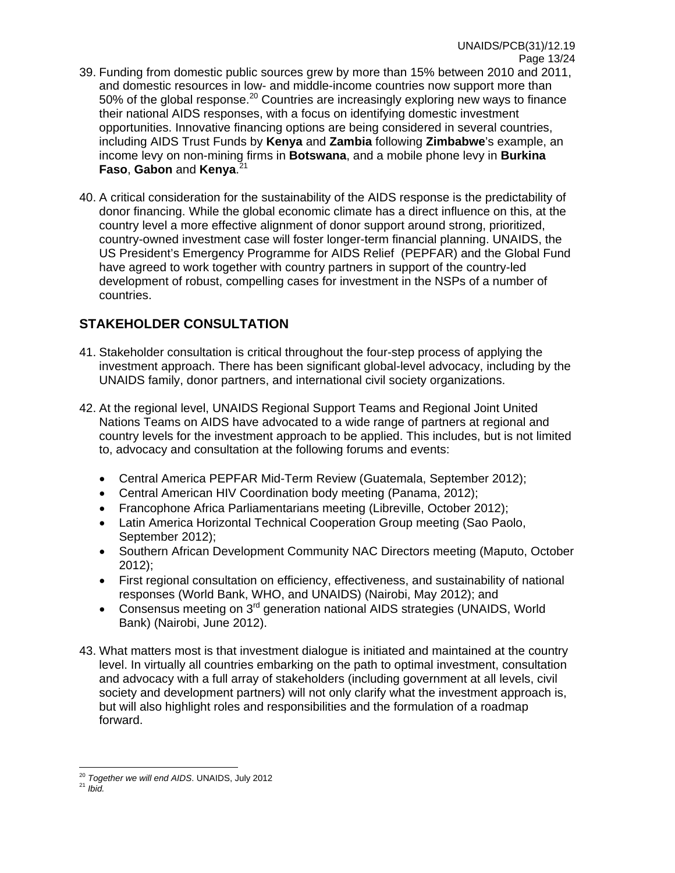- 39. Funding from domestic public sources grew by more than 15% between 2010 and 2011, and domestic resources in low- and middle-income countries now support more than 50% of the global response.<sup>20</sup> Countries are increasingly exploring new ways to finance their national AIDS responses, with a focus on identifying domestic investment opportunities. Innovative financing options are being considered in several countries, including AIDS Trust Funds by **Kenya** and **Zambia** following **Zimbabwe**'s example, an income levy on non-mining firms in **Botswana**, and a mobile phone levy in **Burkina Faso**, **Gabon** and **Kenya**. 21
- 40. A critical consideration for the sustainability of the AIDS response is the predictability of donor financing. While the global economic climate has a direct influence on this, at the country level a more effective alignment of donor support around strong, prioritized, country-owned investment case will foster longer-term financial planning. UNAIDS, the US President's Emergency Programme for AIDS Relief (PEPFAR) and the Global Fund have agreed to work together with country partners in support of the country-led development of robust, compelling cases for investment in the NSPs of a number of countries.

## **STAKEHOLDER CONSULTATION**

- 41. Stakeholder consultation is critical throughout the four-step process of applying the investment approach. There has been significant global-level advocacy, including by the UNAIDS family, donor partners, and international civil society organizations.
- 42. At the regional level, UNAIDS Regional Support Teams and Regional Joint United Nations Teams on AIDS have advocated to a wide range of partners at regional and country levels for the investment approach to be applied. This includes, but is not limited to, advocacy and consultation at the following forums and events:
	- Central America PEPFAR Mid-Term Review (Guatemala, September 2012);
	- Central American HIV Coordination body meeting (Panama, 2012);
	- Francophone Africa Parliamentarians meeting (Libreville, October 2012);
	- Latin America Horizontal Technical Cooperation Group meeting (Sao Paolo, September 2012);
	- Southern African Development Community NAC Directors meeting (Maputo, October 2012);
	- First regional consultation on efficiency, effectiveness, and sustainability of national responses (World Bank, WHO, and UNAIDS) (Nairobi, May 2012); and
	- Consensus meeting on 3<sup>rd</sup> generation national AIDS strategies (UNAIDS, World Bank) (Nairobi, June 2012).
- 43. What matters most is that investment dialogue is initiated and maintained at the country level. In virtually all countries embarking on the path to optimal investment, consultation and advocacy with a full array of stakeholders (including government at all levels, civil society and development partners) will not only clarify what the investment approach is, but will also highlight roles and responsibilities and the formulation of a roadmap forward.

 $\overline{a}$ <sup>20</sup> *Together we will end AIDS*. UNAIDS, July 2012<br><sup>21</sup> *Ibid.*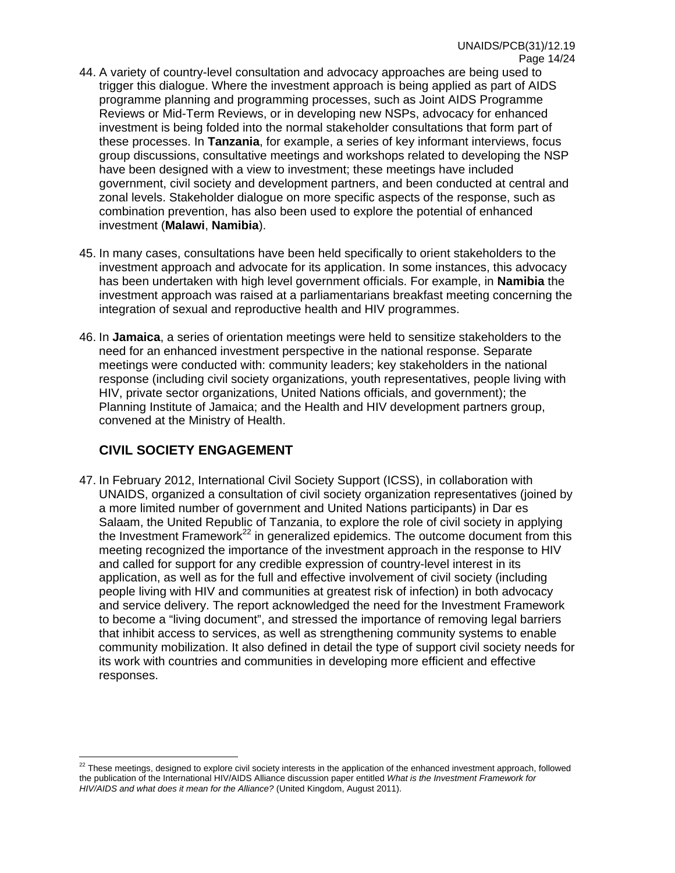- 44. A variety of country-level consultation and advocacy approaches are being used to trigger this dialogue. Where the investment approach is being applied as part of AIDS programme planning and programming processes, such as Joint AIDS Programme Reviews or Mid-Term Reviews, or in developing new NSPs, advocacy for enhanced investment is being folded into the normal stakeholder consultations that form part of these processes. In **Tanzania**, for example, a series of key informant interviews, focus group discussions, consultative meetings and workshops related to developing the NSP have been designed with a view to investment; these meetings have included government, civil society and development partners, and been conducted at central and zonal levels. Stakeholder dialogue on more specific aspects of the response, such as combination prevention, has also been used to explore the potential of enhanced investment (**Malawi**, **Namibia**).
- 45. In many cases, consultations have been held specifically to orient stakeholders to the investment approach and advocate for its application. In some instances, this advocacy has been undertaken with high level government officials. For example, in **Namibia** the investment approach was raised at a parliamentarians breakfast meeting concerning the integration of sexual and reproductive health and HIV programmes.
- 46. In **Jamaica**, a series of orientation meetings were held to sensitize stakeholders to the need for an enhanced investment perspective in the national response. Separate meetings were conducted with: community leaders; key stakeholders in the national response (including civil society organizations, youth representatives, people living with HIV, private sector organizations, United Nations officials, and government); the Planning Institute of Jamaica; and the Health and HIV development partners group, convened at the Ministry of Health.

## **CIVIL SOCIETY ENGAGEMENT**

47. In February 2012, International Civil Society Support (ICSS), in collaboration with UNAIDS, organized a consultation of civil society organization representatives (joined by a more limited number of government and United Nations participants) in Dar es Salaam, the United Republic of Tanzania, to explore the role of civil society in applying the Investment Framework<sup>22</sup> in generalized epidemics. The outcome document from this meeting recognized the importance of the investment approach in the response to HIV and called for support for any credible expression of country-level interest in its application, as well as for the full and effective involvement of civil society (including people living with HIV and communities at greatest risk of infection) in both advocacy and service delivery. The report acknowledged the need for the Investment Framework to become a "living document", and stressed the importance of removing legal barriers that inhibit access to services, as well as strengthening community systems to enable community mobilization. It also defined in detail the type of support civil society needs for its work with countries and communities in developing more efficient and effective responses.

 $\overline{a}$  $22$  These meetings, designed to explore civil society interests in the application of the enhanced investment approach, followed the publication of the International HIV/AIDS Alliance discussion paper entitled *What is the Investment Framework for HIV/AIDS and what does it mean for the Alliance?* (United Kingdom, August 2011).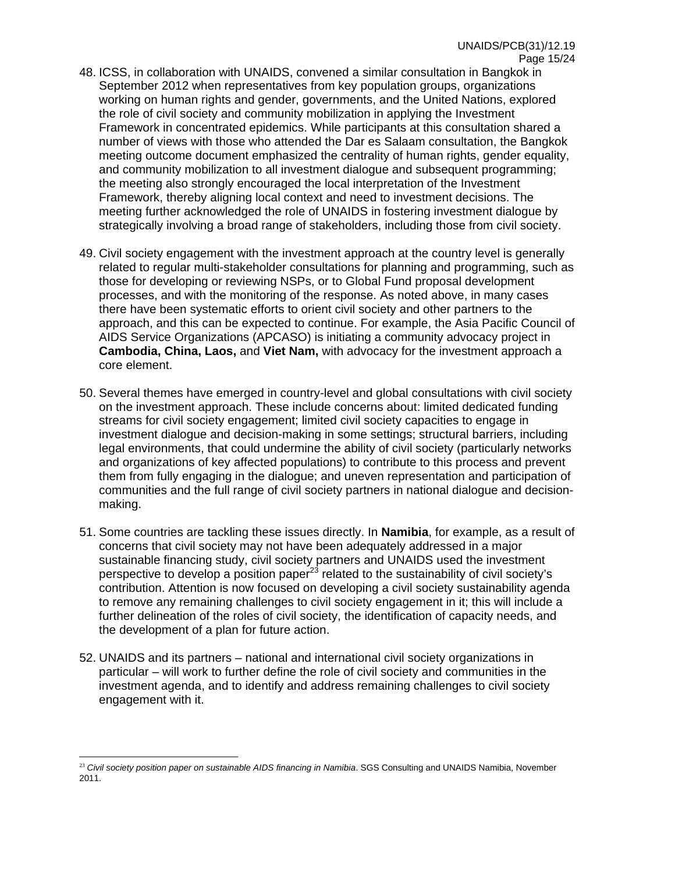- 48. ICSS, in collaboration with UNAIDS, convened a similar consultation in Bangkok in September 2012 when representatives from key population groups, organizations working on human rights and gender, governments, and the United Nations, explored the role of civil society and community mobilization in applying the Investment Framework in concentrated epidemics. While participants at this consultation shared a number of views with those who attended the Dar es Salaam consultation, the Bangkok meeting outcome document emphasized the centrality of human rights, gender equality, and community mobilization to all investment dialogue and subsequent programming; the meeting also strongly encouraged the local interpretation of the Investment Framework, thereby aligning local context and need to investment decisions. The meeting further acknowledged the role of UNAIDS in fostering investment dialogue by strategically involving a broad range of stakeholders, including those from civil society.
- 49. Civil society engagement with the investment approach at the country level is generally related to regular multi-stakeholder consultations for planning and programming, such as those for developing or reviewing NSPs, or to Global Fund proposal development processes, and with the monitoring of the response. As noted above, in many cases there have been systematic efforts to orient civil society and other partners to the approach, and this can be expected to continue. For example, the Asia Pacific Council of AIDS Service Organizations (APCASO) is initiating a community advocacy project in **Cambodia, China, Laos,** and **Viet Nam,** with advocacy for the investment approach a core element.
- 50. Several themes have emerged in country-level and global consultations with civil society on the investment approach. These include concerns about: limited dedicated funding streams for civil society engagement; limited civil society capacities to engage in investment dialogue and decision-making in some settings; structural barriers, including legal environments, that could undermine the ability of civil society (particularly networks and organizations of key affected populations) to contribute to this process and prevent them from fully engaging in the dialogue; and uneven representation and participation of communities and the full range of civil society partners in national dialogue and decisionmaking.
- 51. Some countries are tackling these issues directly. In **Namibia**, for example, as a result of concerns that civil society may not have been adequately addressed in a major sustainable financing study, civil society partners and UNAIDS used the investment perspective to develop a position paper<sup>23</sup> related to the sustainability of civil society's contribution. Attention is now focused on developing a civil society sustainability agenda to remove any remaining challenges to civil society engagement in it; this will include a further delineation of the roles of civil society, the identification of capacity needs, and the development of a plan for future action.
- 52. UNAIDS and its partners national and international civil society organizations in particular – will work to further define the role of civil society and communities in the investment agenda, and to identify and address remaining challenges to civil society engagement with it.

<sup>&</sup>lt;sup>23</sup> Civil society position paper on sustainable AIDS financing in Namibia. SGS Consulting and UNAIDS Namibia, November 2011.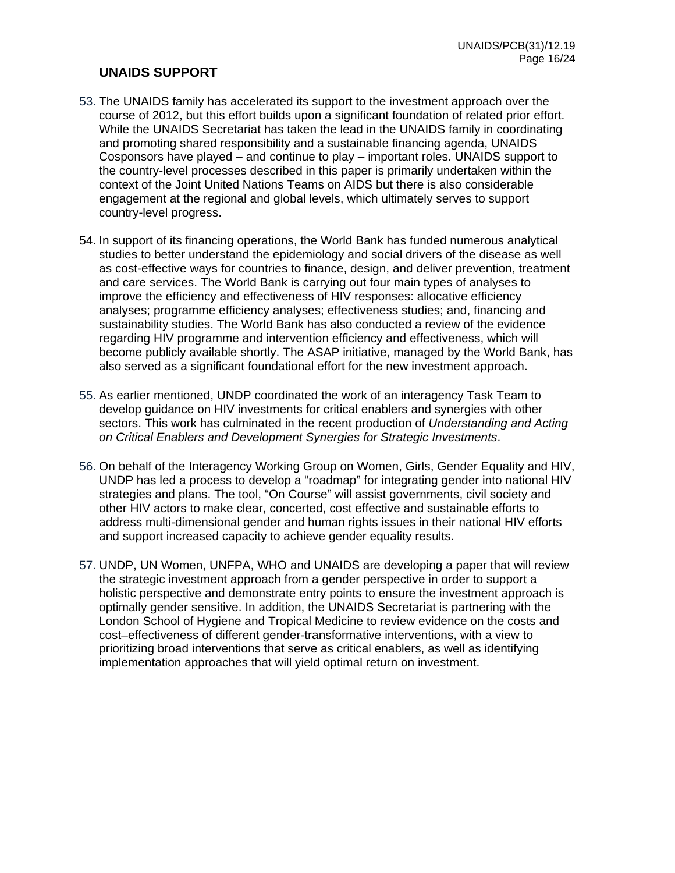### **UNAIDS SUPPORT**

- 53. The UNAIDS family has accelerated its support to the investment approach over the course of 2012, but this effort builds upon a significant foundation of related prior effort. While the UNAIDS Secretariat has taken the lead in the UNAIDS family in coordinating and promoting shared responsibility and a sustainable financing agenda, UNAIDS Cosponsors have played – and continue to play – important roles. UNAIDS support to the country-level processes described in this paper is primarily undertaken within the context of the Joint United Nations Teams on AIDS but there is also considerable engagement at the regional and global levels, which ultimately serves to support country-level progress.
- 54. In support of its financing operations, the World Bank has funded numerous analytical studies to better understand the epidemiology and social drivers of the disease as well as cost-effective ways for countries to finance, design, and deliver prevention, treatment and care services. The World Bank is carrying out four main types of analyses to improve the efficiency and effectiveness of HIV responses: allocative efficiency analyses; programme efficiency analyses; effectiveness studies; and, financing and sustainability studies. The World Bank has also conducted a review of the evidence regarding HIV programme and intervention efficiency and effectiveness, which will become publicly available shortly. The ASAP initiative, managed by the World Bank, has also served as a significant foundational effort for the new investment approach.
- 55. As earlier mentioned, UNDP coordinated the work of an interagency Task Team to develop guidance on HIV investments for critical enablers and synergies with other sectors. This work has culminated in the recent production of *Understanding and Acting on Critical Enablers and Development Synergies for Strategic Investments*.
- 56. On behalf of the Interagency Working Group on Women, Girls, Gender Equality and HIV, UNDP has led a process to develop a "roadmap" for integrating gender into national HIV strategies and plans. The tool, "On Course" will assist governments, civil society and other HIV actors to make clear, concerted, cost effective and sustainable efforts to address multi-dimensional gender and human rights issues in their national HIV efforts and support increased capacity to achieve gender equality results.
- 57. UNDP, UN Women, UNFPA, WHO and UNAIDS are developing a paper that will review the strategic investment approach from a gender perspective in order to support a holistic perspective and demonstrate entry points to ensure the investment approach is optimally gender sensitive. In addition, the UNAIDS Secretariat is partnering with the London School of Hygiene and Tropical Medicine to review evidence on the costs and cost–effectiveness of different gender-transformative interventions, with a view to prioritizing broad interventions that serve as critical enablers, as well as identifying implementation approaches that will yield optimal return on investment.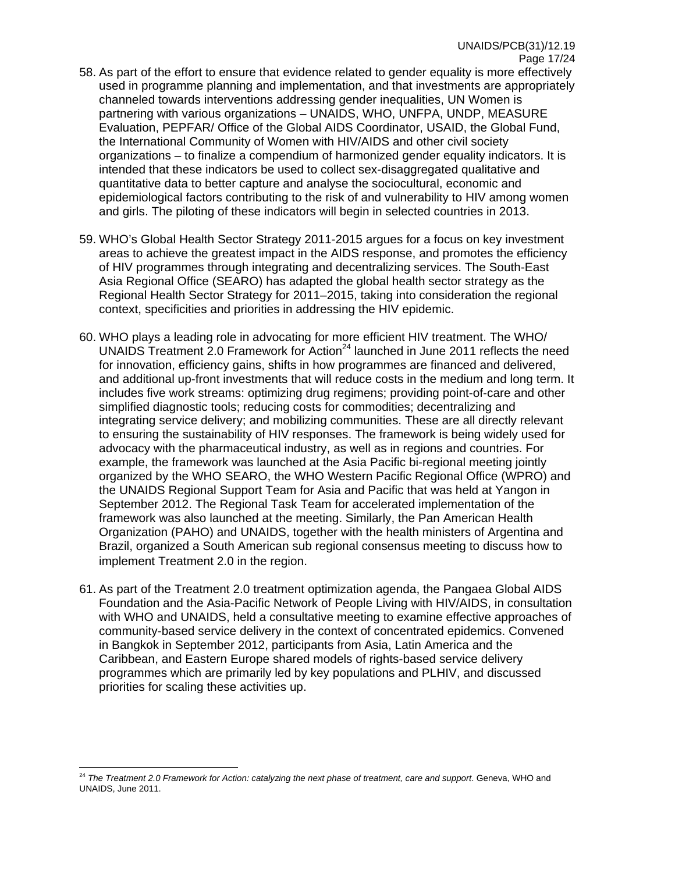- 58. As part of the effort to ensure that evidence related to gender equality is more effectively used in programme planning and implementation, and that investments are appropriately channeled towards interventions addressing gender inequalities, UN Women is partnering with various organizations – UNAIDS, WHO, UNFPA, UNDP, MEASURE Evaluation, PEPFAR/ Office of the Global AIDS Coordinator, USAID, the Global Fund, the International Community of Women with HIV/AIDS and other civil society organizations – to finalize a compendium of harmonized gender equality indicators. It is intended that these indicators be used to collect sex-disaggregated qualitative and quantitative data to better capture and analyse the sociocultural, economic and epidemiological factors contributing to the risk of and vulnerability to HIV among women and girls. The piloting of these indicators will begin in selected countries in 2013.
- 59. WHO's Global Health Sector Strategy 2011-2015 argues for a focus on key investment areas to achieve the greatest impact in the AIDS response, and promotes the efficiency of HIV programmes through integrating and decentralizing services. The South-East Asia Regional Office (SEARO) has adapted the global health sector strategy as the Regional Health Sector Strategy for 2011–2015, taking into consideration the regional context, specificities and priorities in addressing the HIV epidemic.
- 60. WHO plays a leading role in advocating for more efficient HIV treatment. The WHO/ UNAIDS Treatment 2.0 Framework for Action<sup>24</sup> launched in June 2011 reflects the need for innovation, efficiency gains, shifts in how programmes are financed and delivered, and additional up-front investments that will reduce costs in the medium and long term. It includes five work streams: optimizing drug regimens; providing point-of-care and other simplified diagnostic tools; reducing costs for commodities; decentralizing and integrating service delivery; and mobilizing communities. These are all directly relevant to ensuring the sustainability of HIV responses. The framework is being widely used for advocacy with the pharmaceutical industry, as well as in regions and countries. For example, the framework was launched at the Asia Pacific bi-regional meeting jointly organized by the WHO SEARO, the WHO Western Pacific Regional Office (WPRO) and the UNAIDS Regional Support Team for Asia and Pacific that was held at Yangon in September 2012. The Regional Task Team for accelerated implementation of the framework was also launched at the meeting. Similarly, the Pan American Health Organization (PAHO) and UNAIDS, together with the health ministers of Argentina and Brazil, organized a South American sub regional consensus meeting to discuss how to implement Treatment 2.0 in the region.
- 61. As part of the Treatment 2.0 treatment optimization agenda, the Pangaea Global AIDS Foundation and the Asia-Pacific Network of People Living with HIV/AIDS, in consultation with WHO and UNAIDS, held a consultative meeting to examine effective approaches of community-based service delivery in the context of concentrated epidemics. Convened in Bangkok in September 2012, participants from Asia, Latin America and the Caribbean, and Eastern Europe shared models of rights-based service delivery programmes which are primarily led by key populations and PLHIV, and discussed priorities for scaling these activities up.

 $\overline{a}$ <sup>24</sup> *The Treatment 2.0 Framework for Action: catalyzing the next phase of treatment, care and support*. Geneva, WHO and UNAIDS, June 2011.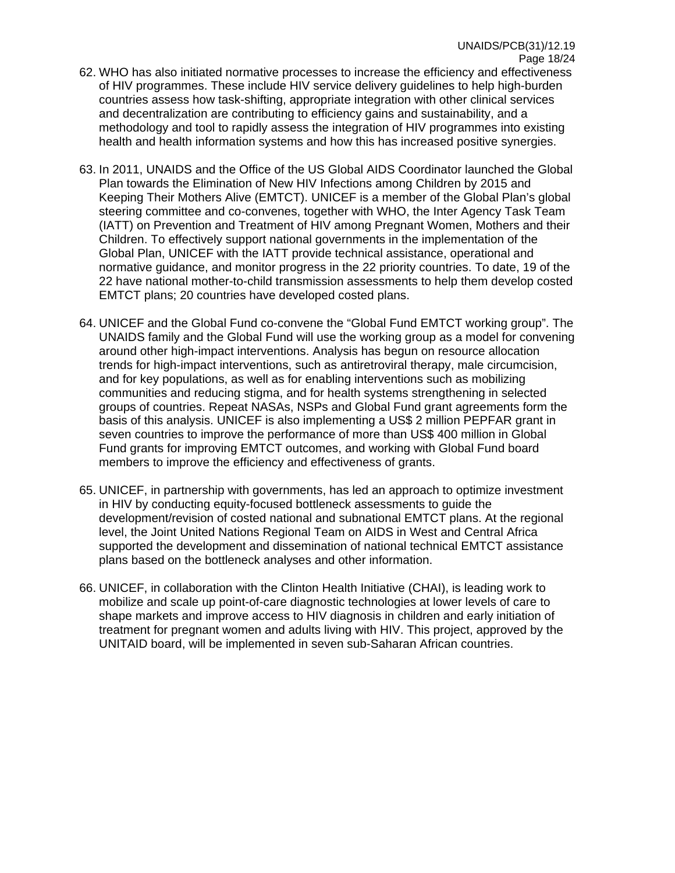- 62. WHO has also initiated normative processes to increase the efficiency and effectiveness of HIV programmes. These include HIV service delivery guidelines to help high-burden countries assess how task-shifting, appropriate integration with other clinical services and decentralization are contributing to efficiency gains and sustainability, and a methodology and tool to rapidly assess the integration of HIV programmes into existing health and health information systems and how this has increased positive synergies.
- 63. In 2011, UNAIDS and the Office of the US Global AIDS Coordinator launched the Global Plan towards the Elimination of New HIV Infections among Children by 2015 and Keeping Their Mothers Alive (EMTCT). UNICEF is a member of the Global Plan's global steering committee and co-convenes, together with WHO, the Inter Agency Task Team (IATT) on Prevention and Treatment of HIV among Pregnant Women, Mothers and their Children. To effectively support national governments in the implementation of the Global Plan, UNICEF with the IATT provide technical assistance, operational and normative guidance, and monitor progress in the 22 priority countries. To date, 19 of the 22 have national mother-to-child transmission assessments to help them develop costed EMTCT plans; 20 countries have developed costed plans.
- 64. UNICEF and the Global Fund co-convene the "Global Fund EMTCT working group". The UNAIDS family and the Global Fund will use the working group as a model for convening around other high-impact interventions. Analysis has begun on resource allocation trends for high-impact interventions, such as antiretroviral therapy, male circumcision, and for key populations, as well as for enabling interventions such as mobilizing communities and reducing stigma, and for health systems strengthening in selected groups of countries. Repeat NASAs, NSPs and Global Fund grant agreements form the basis of this analysis. UNICEF is also implementing a US\$ 2 million PEPFAR grant in seven countries to improve the performance of more than US\$ 400 million in Global Fund grants for improving EMTCT outcomes, and working with Global Fund board members to improve the efficiency and effectiveness of grants.
- 65. UNICEF, in partnership with governments, has led an approach to optimize investment in HIV by conducting equity-focused bottleneck assessments to guide the development/revision of costed national and subnational EMTCT plans. At the regional level, the Joint United Nations Regional Team on AIDS in West and Central Africa supported the development and dissemination of national technical EMTCT assistance plans based on the bottleneck analyses and other information.
- 66. UNICEF, in collaboration with the Clinton Health Initiative (CHAI), is leading work to mobilize and scale up point-of-care diagnostic technologies at lower levels of care to shape markets and improve access to HIV diagnosis in children and early initiation of treatment for pregnant women and adults living with HIV. This project, approved by the UNITAID board, will be implemented in seven sub-Saharan African countries.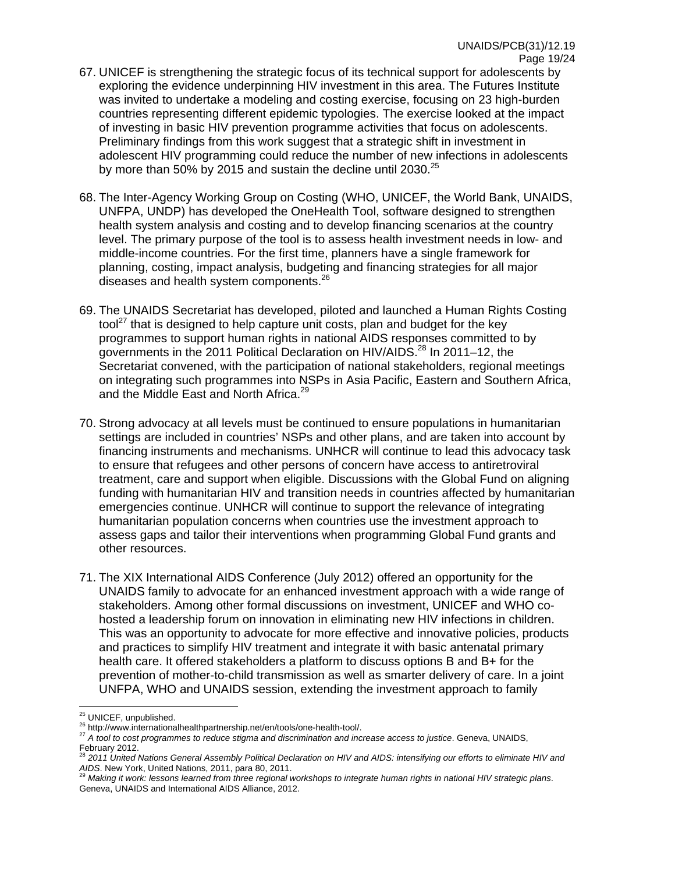- 67. UNICEF is strengthening the strategic focus of its technical support for adolescents by exploring the evidence underpinning HIV investment in this area. The Futures Institute was invited to undertake a modeling and costing exercise, focusing on 23 high-burden countries representing different epidemic typologies. The exercise looked at the impact of investing in basic HIV prevention programme activities that focus on adolescents. Preliminary findings from this work suggest that a strategic shift in investment in adolescent HIV programming could reduce the number of new infections in adolescents by more than 50% by 2015 and sustain the decline until 2030. $^{25}$
- 68. The Inter-Agency Working Group on Costing (WHO, UNICEF, the World Bank, UNAIDS, UNFPA, UNDP) has developed the OneHealth Tool, software designed to strengthen health system analysis and costing and to develop financing scenarios at the country level. The primary purpose of the tool is to assess health investment needs in low- and middle-income countries. For the first time, planners have a single framework for planning, costing, impact analysis, budgeting and financing strategies for all major diseases and health system components.<sup>26</sup>
- 69. The UNAIDS Secretariat has developed, piloted and launched a Human Rights Costing tool<sup>27</sup> that is designed to help capture unit costs, plan and budget for the key programmes to support human rights in national AIDS responses committed to by governments in the 2011 Political Declaration on HIV/AIDS.<sup>28</sup> In 2011–12, the Secretariat convened, with the participation of national stakeholders, regional meetings on integrating such programmes into NSPs in Asia Pacific, Eastern and Southern Africa, and the Middle East and North Africa.<sup>29</sup>
- 70. Strong advocacy at all levels must be continued to ensure populations in humanitarian settings are included in countries' NSPs and other plans, and are taken into account by financing instruments and mechanisms. UNHCR will continue to lead this advocacy task to ensure that refugees and other persons of concern have access to antiretroviral treatment, care and support when eligible. Discussions with the Global Fund on aligning funding with humanitarian HIV and transition needs in countries affected by humanitarian emergencies continue. UNHCR will continue to support the relevance of integrating humanitarian population concerns when countries use the investment approach to assess gaps and tailor their interventions when programming Global Fund grants and other resources.
- 71. The XIX International AIDS Conference (July 2012) offered an opportunity for the UNAIDS family to advocate for an enhanced investment approach with a wide range of stakeholders. Among other formal discussions on investment, UNICEF and WHO cohosted a leadership forum on innovation in eliminating new HIV infections in children. This was an opportunity to advocate for more effective and innovative policies, products and practices to simplify HIV treatment and integrate it with basic antenatal primary health care. It offered stakeholders a platform to discuss options B and B+ for the prevention of mother-to-child transmission as well as smarter delivery of care. In a joint UNFPA, WHO and UNAIDS session, extending the investment approach to family

<sup>&</sup>lt;sup>25</sup> UNICEF, unpublished.

<sup>25</sup> UNICEF, unpublished. 26 http://www.internationalhealthpartnership.net/en/tools/one-health-tool/. <sup>27</sup> *A tool to cost programmes to reduce stigma and discrimination and increase access to justice*. Geneva, UNAIDS, February 2012.

<sup>28</sup> *2011 United Nations General Assembly Political Declaration on HIV and AIDS: intensifying our efforts to eliminate HIV and AIDS*. New York, United Nations, 2011, para 80, 2011. 29 *Making it work: lessons learned from three regional workshops to integrate human rights in national HIV strategic plans*.

Geneva, UNAIDS and International AIDS Alliance, 2012.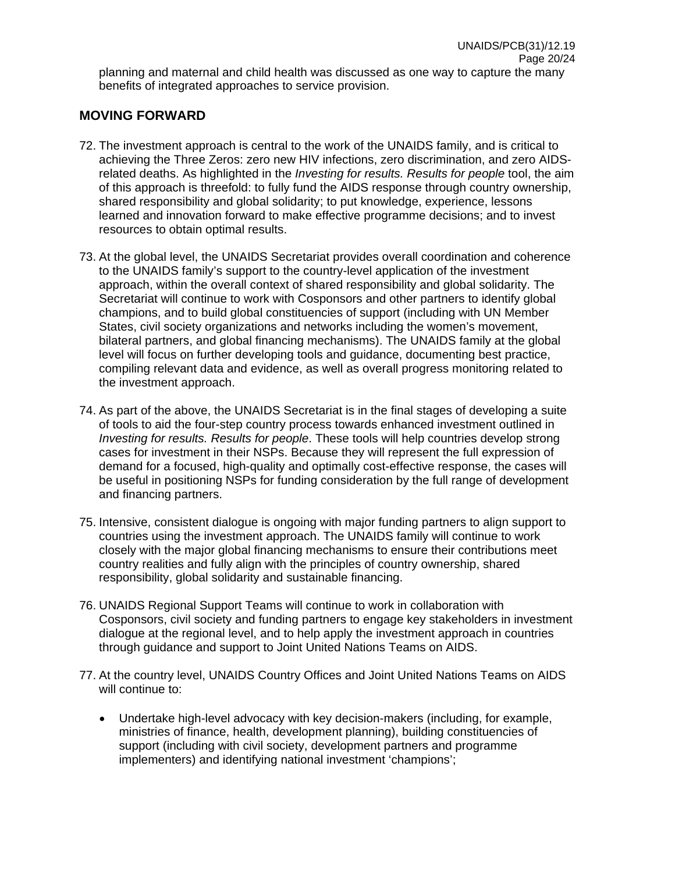## **MOVING FORWARD**

- 72. The investment approach is central to the work of the UNAIDS family, and is critical to achieving the Three Zeros: zero new HIV infections, zero discrimination, and zero AIDSrelated deaths. As highlighted in the *Investing for results. Results for people* tool, the aim of this approach is threefold: to fully fund the AIDS response through country ownership, shared responsibility and global solidarity; to put knowledge, experience, lessons learned and innovation forward to make effective programme decisions; and to invest resources to obtain optimal results.
- 73. At the global level, the UNAIDS Secretariat provides overall coordination and coherence to the UNAIDS family's support to the country-level application of the investment approach, within the overall context of shared responsibility and global solidarity. The Secretariat will continue to work with Cosponsors and other partners to identify global champions, and to build global constituencies of support (including with UN Member States, civil society organizations and networks including the women's movement, bilateral partners, and global financing mechanisms). The UNAIDS family at the global level will focus on further developing tools and guidance, documenting best practice, compiling relevant data and evidence, as well as overall progress monitoring related to the investment approach.
- 74. As part of the above, the UNAIDS Secretariat is in the final stages of developing a suite of tools to aid the four-step country process towards enhanced investment outlined in *Investing for results. Results for people*. These tools will help countries develop strong cases for investment in their NSPs. Because they will represent the full expression of demand for a focused, high-quality and optimally cost-effective response, the cases will be useful in positioning NSPs for funding consideration by the full range of development and financing partners.
- 75. Intensive, consistent dialogue is ongoing with major funding partners to align support to countries using the investment approach. The UNAIDS family will continue to work closely with the major global financing mechanisms to ensure their contributions meet country realities and fully align with the principles of country ownership, shared responsibility, global solidarity and sustainable financing.
- 76. UNAIDS Regional Support Teams will continue to work in collaboration with Cosponsors, civil society and funding partners to engage key stakeholders in investment dialogue at the regional level, and to help apply the investment approach in countries through guidance and support to Joint United Nations Teams on AIDS.
- 77. At the country level, UNAIDS Country Offices and Joint United Nations Teams on AIDS will continue to:
	- Undertake high-level advocacy with key decision-makers (including, for example, ministries of finance, health, development planning), building constituencies of support (including with civil society, development partners and programme implementers) and identifying national investment 'champions';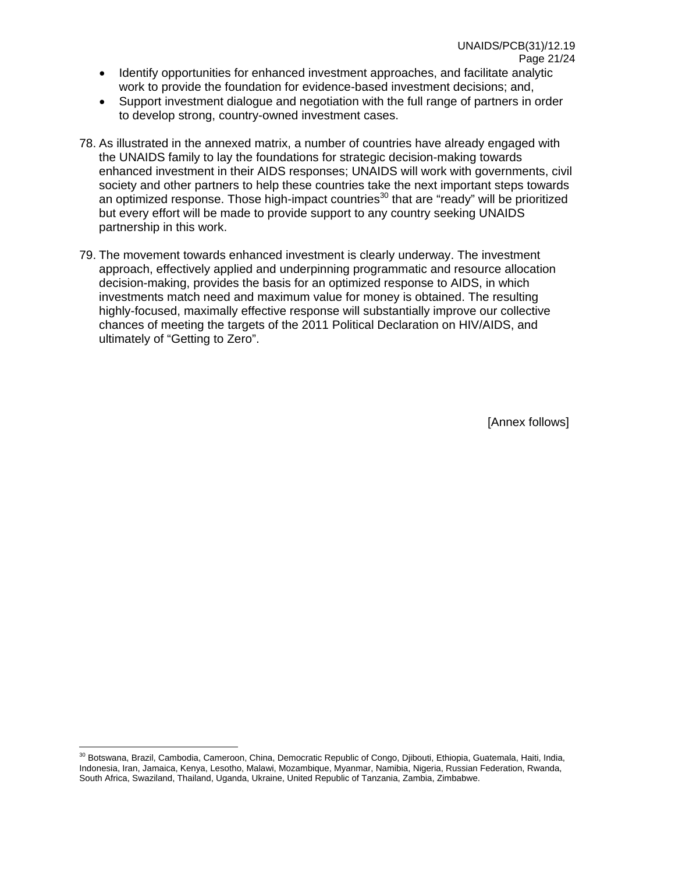- Identify opportunities for enhanced investment approaches, and facilitate analytic work to provide the foundation for evidence-based investment decisions; and,
- Support investment dialogue and negotiation with the full range of partners in order to develop strong, country-owned investment cases.
- 78. As illustrated in the annexed matrix, a number of countries have already engaged with the UNAIDS family to lay the foundations for strategic decision-making towards enhanced investment in their AIDS responses; UNAIDS will work with governments, civil society and other partners to help these countries take the next important steps towards an optimized response. Those high-impact countries<sup>30</sup> that are "ready" will be prioritized but every effort will be made to provide support to any country seeking UNAIDS partnership in this work.
- 79. The movement towards enhanced investment is clearly underway. The investment approach, effectively applied and underpinning programmatic and resource allocation decision-making, provides the basis for an optimized response to AIDS, in which investments match need and maximum value for money is obtained. The resulting highly-focused, maximally effective response will substantially improve our collective chances of meeting the targets of the 2011 Political Declaration on HIV/AIDS, and ultimately of "Getting to Zero".

[Annex follows]

<sup>&</sup>lt;sup>30</sup> Botswana, Brazil, Cambodia, Cameroon, China, Democratic Republic of Congo, Djibouti, Ethiopia, Guatemala, Haiti, India, Indonesia, Iran, Jamaica, Kenya, Lesotho, Malawi, Mozambique, Myanmar, Namibia, Nigeria, Russian Federation, Rwanda, South Africa, Swaziland, Thailand, Uganda, Ukraine, United Republic of Tanzania, Zambia, Zimbabwe.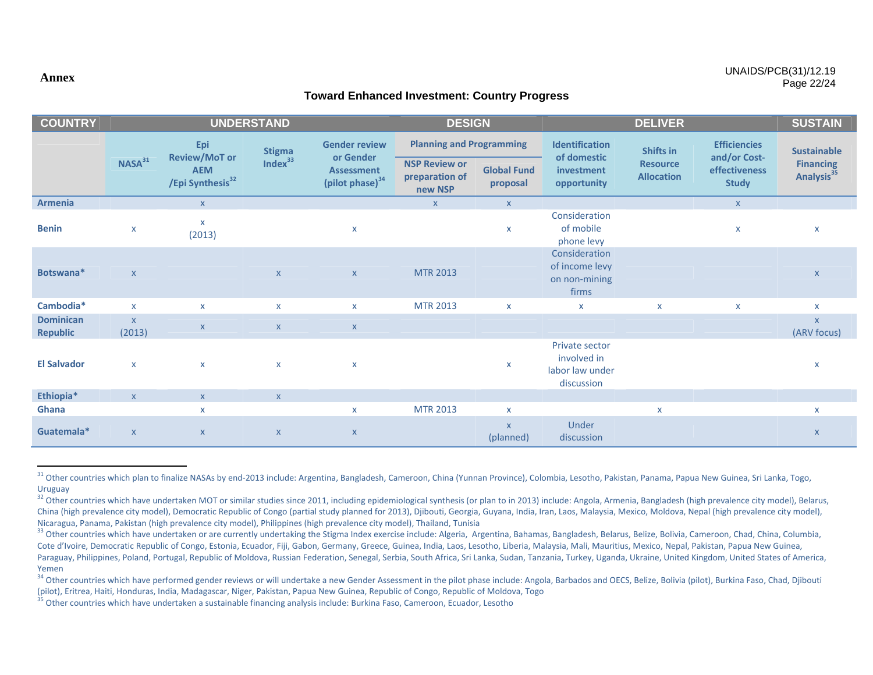#### **Toward Enhanced Investment: Country Progress**

| <b>COUNTRY</b>                      | <b>UNDERSTAND</b>      |                                                                           |                                      |                                                                                       | <b>DESIGN</b>                                     |                                 | <b>DELIVER</b>                                                 |                                      |                                                      | <b>SUSTAIN</b>                             |
|-------------------------------------|------------------------|---------------------------------------------------------------------------|--------------------------------------|---------------------------------------------------------------------------------------|---------------------------------------------------|---------------------------------|----------------------------------------------------------------|--------------------------------------|------------------------------------------------------|--------------------------------------------|
|                                     |                        | Epi<br><b>Review/MoT or</b><br><b>AEM</b><br>/Epi Synthesis <sup>32</sup> | <b>Stigma</b><br>Index <sup>33</sup> | <b>Gender review</b><br>or Gender<br><b>Assessment</b><br>(pilot phase) <sup>34</sup> | <b>Planning and Programming</b>                   |                                 | <b>Identification</b>                                          | Shifts in                            | <b>Efficiencies</b>                                  | <b>Sustainable</b>                         |
|                                     | NASA <sup>31</sup>     |                                                                           |                                      |                                                                                       | <b>NSP Review or</b><br>preparation of<br>new NSP | <b>Global Fund</b><br>proposal  | of domestic<br>investment<br>opportunity                       | <b>Resource</b><br><b>Allocation</b> | and/or Cost-<br><b>effectiveness</b><br><b>Study</b> | <b>Financing</b><br>Analysis <sup>35</sup> |
| <b>Armenia</b>                      |                        | $\mathsf{X}$                                                              |                                      |                                                                                       | $\mathsf{X}$                                      | $\mathsf{X}$                    |                                                                |                                      | $\mathsf X$                                          |                                            |
| <b>Benin</b>                        | $\pmb{\mathsf{X}}$     | $\boldsymbol{\mathsf{x}}$<br>(2013)                                       |                                      | $\pmb{\mathsf{X}}$                                                                    |                                                   | $\mathsf{X}$                    | Consideration<br>of mobile<br>phone levy                       |                                      | $\mathsf{x}$                                         | X                                          |
| Botswana*                           | $\mathsf{X}$           |                                                                           | $\mathsf{X}$                         | $\mathsf X$                                                                           | <b>MTR 2013</b>                                   |                                 | Consideration<br>of income levy<br>on non-mining<br>firms      |                                      |                                                      | $\mathsf X$                                |
| Cambodia*                           | $\mathsf{x}$           | $\boldsymbol{\mathsf{x}}$                                                 | $\mathsf{x}$                         | $\mathsf{x}$                                                                          | <b>MTR 2013</b>                                   | $\mathsf{x}$                    | X                                                              | $\mathsf{x}$                         | $\mathsf{X}$                                         | $\mathsf{X}$                               |
| <b>Dominican</b><br><b>Republic</b> | $\mathsf{X}$<br>(2013) | $\boldsymbol{X}$                                                          | $\mathsf X$                          | $\mathsf{X}$                                                                          |                                                   |                                 |                                                                |                                      |                                                      | $\pmb{\mathsf{X}}$<br>(ARV focus)          |
| <b>El Salvador</b>                  | $\pmb{\mathsf{X}}$     | $\boldsymbol{\mathsf{x}}$                                                 | $\mathsf{x}$                         | $\pmb{\mathsf{X}}$                                                                    |                                                   | X                               | Private sector<br>involved in<br>labor law under<br>discussion |                                      |                                                      | X                                          |
| Ethiopia*                           | $\mathsf{X}$           | $\mathsf{x}$                                                              | $\mathsf X$                          |                                                                                       |                                                   |                                 |                                                                |                                      |                                                      |                                            |
| Ghana                               |                        | $\mathsf{x}$                                                              |                                      | $\mathsf{x}$                                                                          | <b>MTR 2013</b>                                   | $\mathsf{x}$                    |                                                                | $\mathsf{x}$                         |                                                      | $\mathsf{x}$                               |
| Guatemala*                          | $\mathsf{X}$           | $\boldsymbol{\mathsf{X}}$                                                 | $\mathsf X$                          | $\mathsf X$                                                                           |                                                   | $\pmb{\mathsf{X}}$<br>(planned) | Under<br>discussion                                            |                                      |                                                      | $\pmb{\mathsf{X}}$                         |

<sup>&</sup>lt;sup>31</sup> Other countries which plan to finalize NASAs by end-2013 include: Argentina, Bangladesh, Cameroon, China (Yunnan Province), Colombia, Lesotho, Pakistan, Panama, Papua New Guinea, Sri Lanka, Togo, Uruguay

#### **Annex**

<sup>&</sup>lt;sup>32</sup> Other countries which have undertaken MOT or similar studies since 2011, including epidemiological synthesis (or plan to in 2013) include: Angola, Armenia, Bangladesh (high prevalence city model), Belarus, China (high prevalence city model), Democratic Republic of Congo (partial study planned for 2013), Djibouti, Georgia, Guyana, India, Iran, Laos, Malaysia, Mexico, Moldova, Nepal (high prevalence city model), Nicaragua, Panama, Pakistan (high prevalence city model), Philippines (high prevalence city model), Thailand, Tunisia

<sup>&</sup>lt;sup>33</sup> Other countries which have undertaken or are currently undertaking the Stigma Index exercise include: Algeria, Argentina, Bahamas, Bangladesh, Belarus, Belize, Bolivia, Cameroon, Chad, China, Columbia, Cote d'Ivoire, Democratic Republic of Congo, Estonia, Ecuador, Fiji, Gabon, Germany, Greece, Guinea, India, Laos, Lesotho, Liberia, Malaysia, Mali, Mauritius, Mexico, Nepal, Pakistan, Papua New Guinea, Paraguay, Philippines, Poland, Portugal, Republic of Moldova, Russian Federation, Senegal, Serbia, South Africa, Sri Lanka, Sudan, Tanzania, Turkey, Uganda, Ukraine, United Kingdom, United States of America, Yemen

<sup>&</sup>lt;sup>34</sup> Other countries which have performed gender reviews or will undertake a new Gender Assessment in the pilot phase include: Angola, Barbados and OECS, Belize, Bolivia (pilot), Burkina Faso, Chad, Djibouti (pilot), Eritrea, Haiti, Honduras, India, Madagascar, Niger, Pakistan, Papua New Guinea, Republic of Congo, Republic of Moldova, Togo

<sup>&</sup>lt;sup>35</sup> Other countries which have undertaken a sustainable financing analysis include: Burkina Faso, Cameroon, Ecuador, Lesotho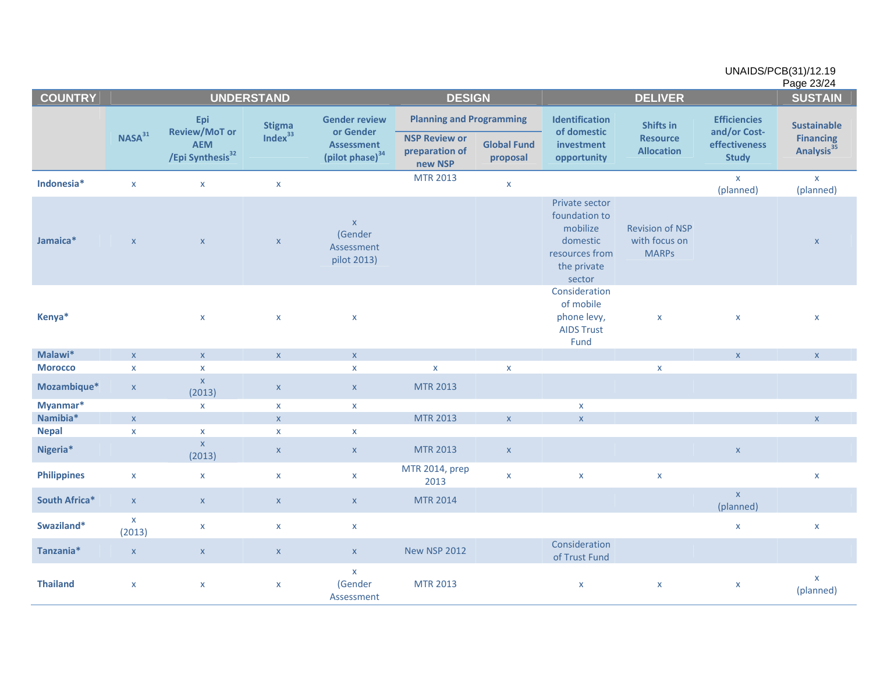|                    |                           |                                                                           |                     |                                                                                       |                                                   | UNAIDS/PCB(31)/12.19<br>Page 23/24 |                                                                                                    |                                                         |                                     |                                            |  |
|--------------------|---------------------------|---------------------------------------------------------------------------|---------------------|---------------------------------------------------------------------------------------|---------------------------------------------------|------------------------------------|----------------------------------------------------------------------------------------------------|---------------------------------------------------------|-------------------------------------|--------------------------------------------|--|
| <b>COUNTRY</b>     |                           | <b>UNDERSTAND</b>                                                         |                     |                                                                                       |                                                   | <b>DESIGN</b>                      |                                                                                                    | <b>DELIVER</b>                                          |                                     |                                            |  |
|                    | NASA <sup>31</sup>        | Epi<br><b>Review/MoT or</b><br><b>AEM</b><br>/Epi Synthesis <sup>32</sup> | <b>Stigma</b>       | <b>Gender review</b><br>or Gender<br><b>Assessment</b><br>(pilot phase) <sup>34</sup> | <b>Planning and Programming</b>                   |                                    | Identification<br>of domestic                                                                      | Shifts in                                               | <b>Efficiencies</b><br>and/or Cost- | <b>Sustainable</b>                         |  |
|                    |                           |                                                                           | Index <sup>33</sup> |                                                                                       | <b>NSP Review or</b><br>preparation of<br>new NSP | <b>Global Fund</b><br>proposal     | investment<br>opportunity                                                                          | <b>Resource</b><br><b>Allocation</b>                    | effectiveness<br><b>Study</b>       | <b>Financing</b><br>Analysis <sup>35</sup> |  |
| Indonesia*         | $\pmb{\mathsf{X}}$        | $\mathsf{x}$                                                              | $\pmb{\times}$      |                                                                                       | <b>MTR 2013</b>                                   | $\mathsf{X}$                       |                                                                                                    |                                                         | $\mathsf X$<br>(planned)            | $\pmb{\mathsf{X}}$<br>(planned)            |  |
| Jamaica*           | $\boldsymbol{\mathsf{X}}$ | $\mathsf X$                                                               | $\mathsf X$         | $\mathsf X$<br>(Gender<br>Assessment<br>pilot 2013)                                   |                                                   |                                    | Private sector<br>foundation to<br>mobilize<br>domestic<br>resources from<br>the private<br>sector | <b>Revision of NSP</b><br>with focus on<br><b>MARPS</b> |                                     | $\mathsf X$                                |  |
| Kenya*             |                           | $\pmb{\mathsf{X}}$                                                        | $\pmb{\mathsf{X}}$  | $\pmb{\mathsf{X}}$                                                                    |                                                   |                                    | Consideration<br>of mobile<br>phone levy,<br><b>AIDS Trust</b><br>Fund                             | $\pmb{\mathsf{X}}$                                      | $\pmb{\times}$                      | $\pmb{\mathsf{x}}$                         |  |
| Malawi*            | $\mathsf{X}$              | $\pmb{\mathsf{X}}$                                                        | $\mathsf X$         | $\mathsf X$                                                                           |                                                   |                                    |                                                                                                    |                                                         | $\mathsf{X}$                        | $\pmb{\mathsf{X}}$                         |  |
| <b>Morocco</b>     | $\pmb{\mathsf{X}}$        | $\pmb{\mathsf{x}}$                                                        |                     | $\pmb{\mathsf{X}}$                                                                    | $\pmb{\mathsf{X}}$                                | $\mathsf X$                        |                                                                                                    | $\pmb{\mathsf{X}}$                                      |                                     |                                            |  |
| Mozambique*        | $\mathsf{X}$              | $\pmb{\mathsf{X}}$<br>(2013)                                              | $\mathsf X$         | $\boldsymbol{\mathsf{X}}$                                                             | <b>MTR 2013</b>                                   |                                    |                                                                                                    |                                                         |                                     |                                            |  |
| Myanmar*           |                           | $\mathsf{X}$                                                              | $\mathsf{X}$        | $\mathsf{X}$                                                                          |                                                   |                                    | X                                                                                                  |                                                         |                                     |                                            |  |
| Namibia*           | $\mathsf{X}$              |                                                                           | $\mathbf{x}$        |                                                                                       | <b>MTR 2013</b>                                   | $\mathsf{X}$                       | $\mathsf X$                                                                                        |                                                         |                                     | $\mathsf X$                                |  |
| <b>Nepal</b>       | $\pmb{\mathsf{x}}$        | $\pmb{\mathsf{X}}$                                                        | $\pmb{\times}$      | $\mathsf{X}$                                                                          |                                                   |                                    |                                                                                                    |                                                         |                                     |                                            |  |
| Nigeria*           |                           | $\mathsf{x}$<br>(2013)                                                    | $\mathsf X$         | $\mathsf X$                                                                           | <b>MTR 2013</b>                                   | $\mathsf X$                        |                                                                                                    |                                                         | $\mathsf X$                         |                                            |  |
| <b>Philippines</b> | $\mathsf{X}$              | $\pmb{\times}$                                                            | $\pmb{\times}$      | $\mathsf X$                                                                           | MTR 2014, prep<br>2013                            | $\mathsf{X}$                       | $\pmb{\mathsf{x}}$                                                                                 | $\pmb{\mathsf{x}}$                                      |                                     | $\pmb{\mathsf{X}}$                         |  |
| South Africa*      | $\mathsf{X}$              | $\mathsf X$                                                               | $\mathbf{x}$        | $\mathsf{X}$                                                                          | <b>MTR 2014</b>                                   |                                    |                                                                                                    |                                                         | $\mathsf X$<br>(planned)            |                                            |  |
| Swaziland*         | $\mathsf{X}$<br>(2013)    | $\pmb{\mathsf{X}}$                                                        | $\pmb{\mathsf{X}}$  | $\mathsf X$                                                                           |                                                   |                                    |                                                                                                    |                                                         | $\pmb{\times}$                      | $\pmb{\times}$                             |  |
| Tanzania*          | $\mathsf X$               | $\mathsf X$                                                               | $\mathsf X$         | $\mathsf X$                                                                           | <b>New NSP 2012</b>                               |                                    | Consideration<br>of Trust Fund                                                                     |                                                         |                                     |                                            |  |
| <b>Thailand</b>    | X                         | $\pmb{\mathsf{x}}$                                                        | $\pmb{\mathsf{x}}$  | $\mathsf X$<br>(Gender<br>Assessment                                                  | <b>MTR 2013</b>                                   |                                    | X                                                                                                  | $\mathsf{X}$                                            | X                                   | X<br>(planned)                             |  |